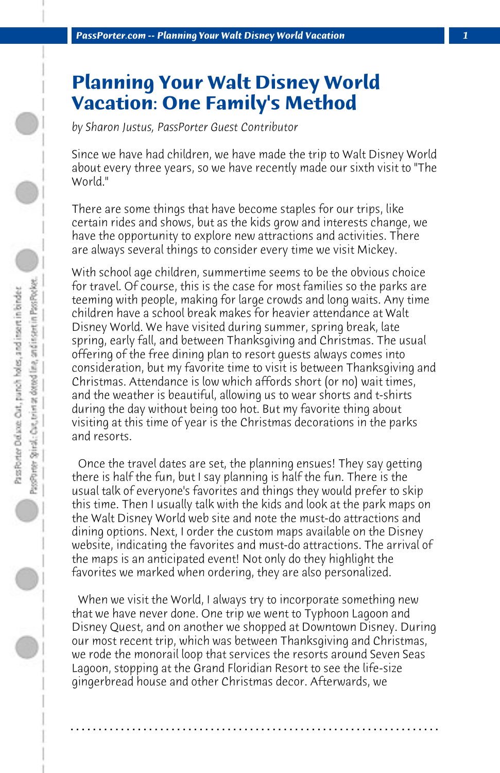## **Planning Your Walt Disney World Vacation: One Family's Method**

*by Sharon Justus, PassPorter Guest Contributor*

Since we have had children, we have made the trip to Walt Disney World about every three years, so we have recently made our sixth visit to "The World."

There are some things that have become staples for our trips, like certain rides and shows, but as the kids grow and interests change, we have the opportunity to explore new attractions and activities. There are always several things to consider every time we visit Mickey.

With school age children, summertime seems to be the obvious choice for travel. Of course, this is the case for most families so the parks are teeming with people, making for large crowds and long waits. Any time children have a school break makes for heavier attendance at Walt Disney World. We have visited during summer, spring break, late spring, early fall, and between Thanksgiving and Christmas. The usual offering of the free dining plan to resort guests always comes into consideration, but my favorite time to visit is between Thanksgiving and Christmas. Attendance is low which affords short (or no) wait times, and the weather is beautiful, allowing us to wear shorts and t-shirts during the day without being too hot. But my favorite thing about visiting at this time of year is the Christmas decorations in the parks and resorts.

 Once the travel dates are set, the planning ensues! They say getting there is half the fun, but I say planning is half the fun. There is the usual talk of everyone's favorites and things they would prefer to skip this time. Then I usually talk with the kids and look at the park maps on the Walt Disney World web site and note the must-do attractions and dining options. Next, I order the custom maps available on the Disney website, indicating the favorites and must-do attractions. The arrival of the maps is an anticipated event! Not only do they highlight the favorites we marked when ordering, they are also personalized.

 When we visit the World, I always try to incorporate something new that we have never done. One trip we went to Typhoon Lagoon and Disney Quest, and on another we shopped at Downtown Disney. During our most recent trip, which was between Thanksgiving and Christmas, we rode the monorail loop that services the resorts around Seven Seas Lagoon, stopping at the Grand Floridian Resort to see the life-size gingerbread house and other Christmas decor. Afterwards, we

**. . . . . . . . . . . . . . . . . . . . . . . . . . . . . . . . . . . . . . . . . . . . . . . . . . . . . . . . . . . . . . . . . .**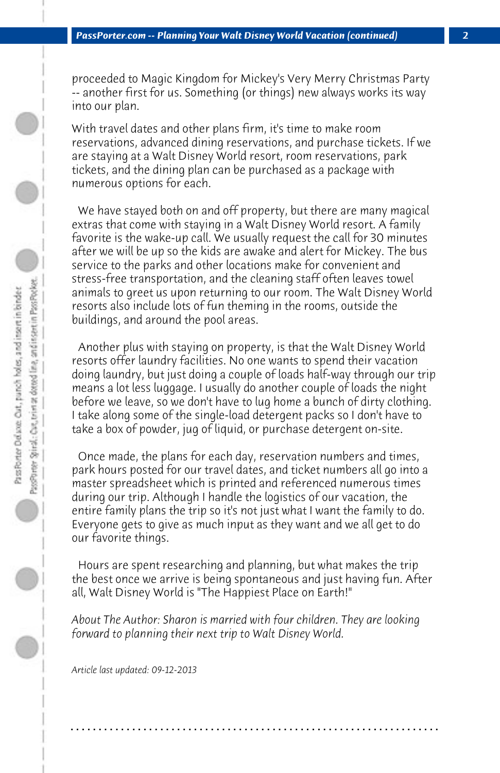proceeded to Magic Kingdom for Mickey's Very Merry Christmas Party -- another first for us. Something (or things) new always works its way into our plan.

With travel dates and other plans firm, it's time to make room reservations, advanced dining reservations, and purchase tickets. If we are staying at a Walt Disney World resort, room reservations, park tickets, and the dining plan can be purchased as a package with numerous options for each.

 We have stayed both on and off property, but there are many magical extras that come with staying in a Walt Disney World resort. A family favorite is the wake-up call. We usually request the call for 30 minutes after we will be up so the kids are awake and alert for Mickey. The bus service to the parks and other locations make for convenient and stress-free transportation, and the cleaning staff often leaves towel animals to greet us upon returning to our room. The Walt Disney World resorts also include lots of fun theming in the rooms, outside the buildings, and around the pool areas.

 Another plus with staying on property, is that the Walt Disney World resorts offer laundry facilities. No one wants to spend their vacation doing laundry, but just doing a couple of loads half-way through our trip means a lot less luggage. I usually do another couple of loads the night before we leave, so we don't have to lug home a bunch of dirty clothing. I take along some of the single-load detergent packs so I don't have to take a box of powder, jug of liquid, or purchase detergent on-site.

 Once made, the plans for each day, reservation numbers and times, park hours posted for our travel dates, and ticket numbers all go into a master spreadsheet which is printed and referenced numerous times during our trip. Although I handle the logistics of our vacation, the entire family plans the trip so it's not just what I want the family to do. Everyone gets to give as much input as they want and we all get to do our favorite things.

 Hours are spent researching and planning, but what makes the trip the best once we arrive is being spontaneous and just having fun. After all, Walt Disney World is "The Happiest Place on Earth!"

*About The Author: Sharon is married with four children. They are looking forward to planning their next trip to Walt Disney World.*

**. . . . . . . . . . . . . . . . . . . . . . . . . . . . . . . . . . . . . . . . . . . . . . . . . . . . . . . . . . . . . . . . . .**

*Article last updated: 09-12-2013*